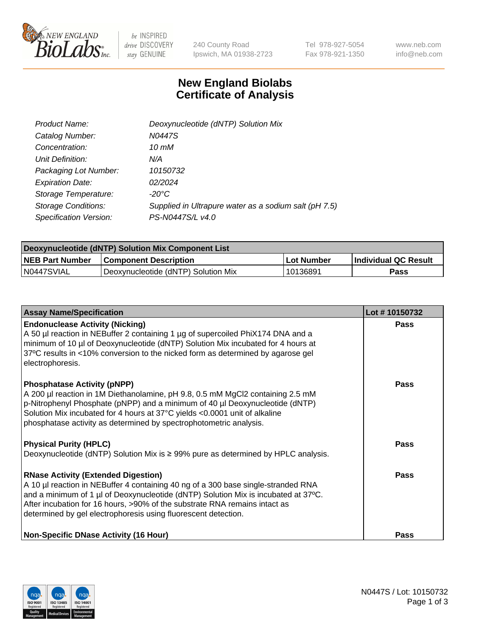

 $be$  INSPIRED drive DISCOVERY stay GENUINE

240 County Road Ipswich, MA 01938-2723 Tel 978-927-5054 Fax 978-921-1350 www.neb.com info@neb.com

## **New England Biolabs Certificate of Analysis**

| Product Name:              | Deoxynucleotide (dNTP) Solution Mix                   |
|----------------------------|-------------------------------------------------------|
| Catalog Number:            | N0447S                                                |
| Concentration:             | 10 mM                                                 |
| Unit Definition:           | N/A                                                   |
| Packaging Lot Number:      | 10150732                                              |
| <b>Expiration Date:</b>    | 02/2024                                               |
| Storage Temperature:       | $-20^{\circ}$ C                                       |
| <b>Storage Conditions:</b> | Supplied in Ultrapure water as a sodium salt (pH 7.5) |
| Specification Version:     | PS-N0447S/L v4.0                                      |

| Deoxynucleotide (dNTP) Solution Mix Component List |                                     |            |                             |  |  |
|----------------------------------------------------|-------------------------------------|------------|-----------------------------|--|--|
| <b>NEB Part Number</b>                             | <b>Component Description</b>        | Lot Number | <b>Individual QC Result</b> |  |  |
| IN0447SVIAL                                        | Deoxynucleotide (dNTP) Solution Mix | 10136891   | Pass                        |  |  |

| <b>Assay Name/Specification</b>                                                                                                                                                                                                                                                                                                                                       | Lot #10150732 |
|-----------------------------------------------------------------------------------------------------------------------------------------------------------------------------------------------------------------------------------------------------------------------------------------------------------------------------------------------------------------------|---------------|
| <b>Endonuclease Activity (Nicking)</b><br>A 50 µl reaction in NEBuffer 2 containing 1 µg of supercoiled PhiX174 DNA and a<br>minimum of 10 µl of Deoxynucleotide (dNTP) Solution Mix incubated for 4 hours at<br>37°C results in <10% conversion to the nicked form as determined by agarose gel<br>electrophoresis.                                                  | Pass          |
| <b>Phosphatase Activity (pNPP)</b><br>A 200 µl reaction in 1M Diethanolamine, pH 9.8, 0.5 mM MgCl2 containing 2.5 mM<br>p-Nitrophenyl Phosphate (pNPP) and a minimum of 40 µl Deoxynucleotide (dNTP)<br>Solution Mix incubated for 4 hours at 37°C yields <0.0001 unit of alkaline<br>phosphatase activity as determined by spectrophotometric analysis.              | Pass          |
| <b>Physical Purity (HPLC)</b><br>Deoxynucleotide (dNTP) Solution Mix is $\geq$ 99% pure as determined by HPLC analysis.                                                                                                                                                                                                                                               | Pass          |
| <b>RNase Activity (Extended Digestion)</b><br>A 10 µl reaction in NEBuffer 4 containing 40 ng of a 300 base single-stranded RNA<br>and a minimum of 1 µl of Deoxynucleotide (dNTP) Solution Mix is incubated at 37°C.<br>After incubation for 16 hours, >90% of the substrate RNA remains intact as<br>determined by gel electrophoresis using fluorescent detection. | Pass          |
| <b>Non-Specific DNase Activity (16 Hour)</b>                                                                                                                                                                                                                                                                                                                          | <b>Pass</b>   |

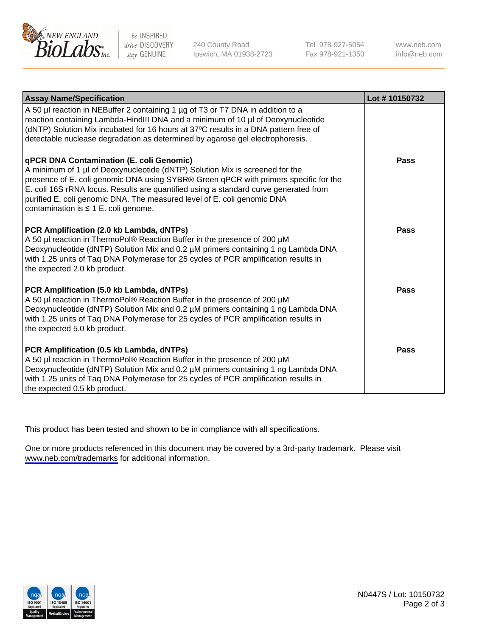

be INSPIRED drive DISCOVERY stay GENUINE

240 County Road Ipswich, MA 01938-2723 Tel 978-927-5054 Fax 978-921-1350

www.neb.com info@neb.com

| <b>Assay Name/Specification</b>                                                                                                                                                                                                                                                                                                                                                                                                         | Lot #10150732 |
|-----------------------------------------------------------------------------------------------------------------------------------------------------------------------------------------------------------------------------------------------------------------------------------------------------------------------------------------------------------------------------------------------------------------------------------------|---------------|
| A 50 µl reaction in NEBuffer 2 containing 1 µg of T3 or T7 DNA in addition to a<br>reaction containing Lambda-HindIII DNA and a minimum of 10 µl of Deoxynucleotide<br>(dNTP) Solution Mix incubated for 16 hours at 37°C results in a DNA pattern free of<br>detectable nuclease degradation as determined by agarose gel electrophoresis.                                                                                             |               |
| <b>qPCR DNA Contamination (E. coli Genomic)</b><br>A minimum of 1 µl of Deoxynucleotide (dNTP) Solution Mix is screened for the<br>presence of E. coli genomic DNA using SYBR® Green qPCR with primers specific for the<br>E. coli 16S rRNA locus. Results are quantified using a standard curve generated from<br>purified E. coli genomic DNA. The measured level of E. coli genomic DNA<br>contamination is $\leq 1$ E. coli genome. | Pass          |
| PCR Amplification (2.0 kb Lambda, dNTPs)<br>A 50 µl reaction in ThermoPol® Reaction Buffer in the presence of 200 µM<br>Deoxynucleotide (dNTP) Solution Mix and 0.2 µM primers containing 1 ng Lambda DNA<br>with 1.25 units of Taq DNA Polymerase for 25 cycles of PCR amplification results in<br>the expected 2.0 kb product.                                                                                                        | <b>Pass</b>   |
| PCR Amplification (5.0 kb Lambda, dNTPs)<br>A 50 µl reaction in ThermoPol® Reaction Buffer in the presence of 200 µM<br>Deoxynucleotide (dNTP) Solution Mix and 0.2 µM primers containing 1 ng Lambda DNA<br>with 1.25 units of Taq DNA Polymerase for 25 cycles of PCR amplification results in<br>the expected 5.0 kb product.                                                                                                        | Pass          |
| PCR Amplification (0.5 kb Lambda, dNTPs)<br>A 50 µl reaction in ThermoPol® Reaction Buffer in the presence of 200 µM<br>Deoxynucleotide (dNTP) Solution Mix and 0.2 µM primers containing 1 ng Lambda DNA<br>with 1.25 units of Taq DNA Polymerase for 25 cycles of PCR amplification results in<br>the expected 0.5 kb product.                                                                                                        | <b>Pass</b>   |

This product has been tested and shown to be in compliance with all specifications.

One or more products referenced in this document may be covered by a 3rd-party trademark. Please visit <www.neb.com/trademarks>for additional information.